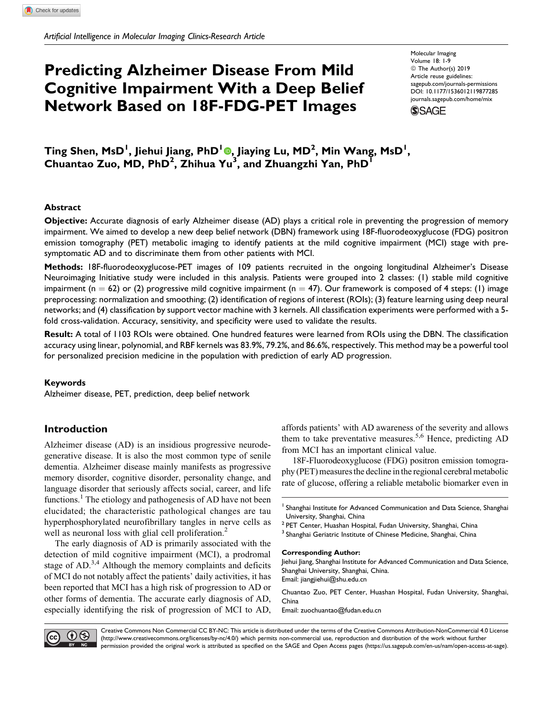# Predicting Alzheimer Disease From Mild Cognitive Impairment With a Deep Belief Network Based on 18F-FDG-PET Images

Molecular Imaging Volume 18: 1-9 © The Author(s) 2019 Article reuse guidelines: [sagepub.com/journals-permissions](https://sagepub.com/journals-permissions) [DOI: 10.1177/1536012119877285](https://doi.org/10.1177/1536012119877285) [journals.sagepub.com/home/mix](http://journals.sagepub.com/home/mix)



Ting Shen, MsD<sup>1</sup>, Jiehui Jiang, PhD<sup>1</sup>®, Jiaying Lu, MD<sup>2</sup>, Min Wang, MsD<sup>1</sup>, Chuantao Zuo, MD, PhD<sup>2</sup>, Zhihua Yu<sup>3</sup>, and Zhuangzhi Yan, PhD<sup>T</sup>

#### **Abstract**

Objective: Accurate diagnosis of early Alzheimer disease (AD) plays a critical role in preventing the progression of memory impairment. We aimed to develop a new deep belief network (DBN) framework using 18F-fluorodeoxyglucose (FDG) positron emission tomography (PET) metabolic imaging to identify patients at the mild cognitive impairment (MCI) stage with presymptomatic AD and to discriminate them from other patients with MCI.

Methods: 18F-fluorodeoxyglucose-PET images of 109 patients recruited in the ongoing longitudinal Alzheimer's Disease Neuroimaging Initiative study were included in this analysis. Patients were grouped into 2 classes: (1) stable mild cognitive impairment (n = 62) or (2) progressive mild cognitive impairment (n = 47). Our framework is composed of 4 steps: (1) image preprocessing: normalization and smoothing; (2) identification of regions of interest (ROIs); (3) feature learning using deep neural networks; and (4) classification by support vector machine with 3 kernels. All classification experiments were performed with a 5 fold cross-validation. Accuracy, sensitivity, and specificity were used to validate the results.

Result: A total of 1103 ROIs were obtained. One hundred features were learned from ROIs using the DBN. The classification accuracy using linear, polynomial, and RBF kernels was 83.9%, 79.2%, and 86.6%, respectively. This method may be a powerful tool for personalized precision medicine in the population with prediction of early AD progression.

#### Keywords

Alzheimer disease, PET, prediction, deep belief network

#### Introduction

Alzheimer disease (AD) is an insidious progressive neurodegenerative disease. It is also the most common type of senile dementia. Alzheimer disease mainly manifests as progressive memory disorder, cognitive disorder, personality change, and language disorder that seriously affects social, career, and life functions.<sup>1</sup> The etiology and pathogenesis of AD have not been elucidated; the characteristic pathological changes are tau hyperphosphorylated neurofibrillary tangles in nerve cells as well as neuronal loss with glial cell proliferation.<sup>2</sup>

The early diagnosis of AD is primarily associated with the detection of mild cognitive impairment (MCI), a prodromal stage of  $AD$ <sup>3,4</sup> Although the memory complaints and deficits of MCI do not notably affect the patients' daily activities, it has been reported that MCI has a high risk of progression to AD or other forms of dementia. The accurate early diagnosis of AD, especially identifying the risk of progression of MCI to AD, affords patients' with AD awareness of the severity and allows them to take preventative measures.<sup>5,6</sup> Hence, predicting AD from MCI has an important clinical value.

18F-Fluorodeoxyglucose (FDG) positron emission tomography (PET) measures the decline in the regional cerebral metabolic rate of glucose, offering a reliable metabolic biomarker even in

<sup>3</sup> Shanghai Geriatric Institute of Chinese Medicine, Shanghai, China

#### Corresponding Author:

Jiehui Jiang, Shanghai Institute for Advanced Communication and Data Science, Shanghai University, Shanghai, China.

Email: [jiangjiehui@shu.edu.cn](mailto:jiangjiehui@shu.edu.cn)

Chuantao Zuo, PET Center, Huashan Hospital, Fudan University, Shanghai, China

Email: [zuochuantao@fudan.edu.cn](mailto:zuochuantao@fudan.edu.cn)



Creative Commons Non Commercial CC BY-NC: This article is distributed under the terms of the Creative Commons Attribution-NonCommercial 4.0 License (http://www.creativecommons.org/licenses/by-nc/4.0/) which permits non-commercial use, reproduction and distribution of the work without further permission provided the original work is attributed as specified on the SAGE and Open Access pages (https://us.sagepub.com/en-us/nam/open-access-at-sage).

<sup>&</sup>lt;sup>1</sup> Shanghai Institute for Advanced Communication and Data Science, Shanghai University, Shanghai, China

 $2$  PET Center, Huashan Hospital, Fudan University, Shanghai, China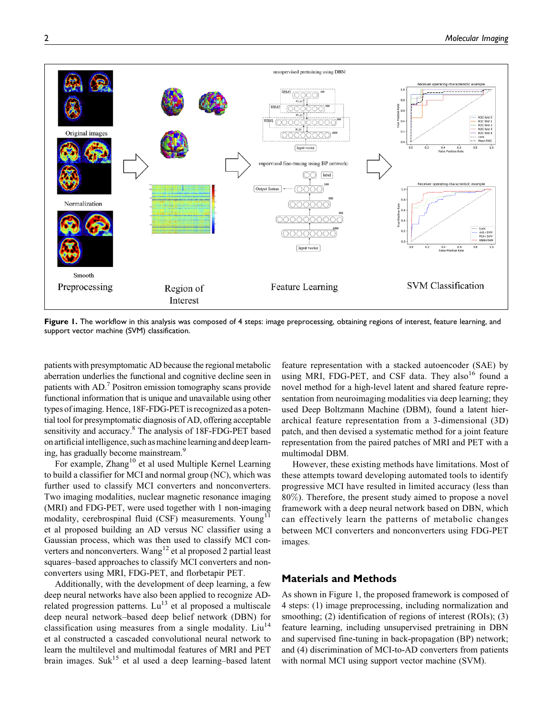

Figure 1. The workflow in this analysis was composed of 4 steps: image preprocessing, obtaining regions of interest, feature learning, and support vector machine (SVM) classification.

patients with presymptomatic AD because the regional metabolic aberration underlies the functional and cognitive decline seen in patients with AD.<sup>7</sup> Positron emission tomography scans provide functional information that is unique and unavailable using other types of imaging. Hence, 18F-FDG-PET is recognized as a potential tool for presymptomatic diagnosis of AD, offering acceptable sensitivity and accuracy.<sup>8</sup> The analysis of 18F-FDG-PET based on artificial intelligence, such as machine learning and deep learning, has gradually become mainstream.<sup>9</sup>

For example, Zhang<sup>10</sup> et al used Multiple Kernel Learning to build a classifier for MCI and normal group (NC), which was further used to classify MCI converters and nonconverters. Two imaging modalities, nuclear magnetic resonance imaging (MRI) and FDG-PET, were used together with 1 non-imaging modality, cerebrospinal fluid (CSF) measurements. Young<sup>11</sup> et al proposed building an AD versus NC classifier using a Gaussian process, which was then used to classify MCI converters and nonconverters. Wang<sup>12</sup> et al proposed 2 partial least squares–based approaches to classify MCI converters and nonconverters using MRI, FDG-PET, and florbetapir PET.

Additionally, with the development of deep learning, a few deep neural networks have also been applied to recognize ADrelated progression patterns.  $Lu^{13}$  et al proposed a multiscale deep neural network–based deep belief network (DBN) for classification using measures from a single modality.  $Liu<sup>14</sup>$ et al constructed a cascaded convolutional neural network to learn the multilevel and multimodal features of MRI and PET brain images. Suk<sup>15</sup> et al used a deep learning–based latent feature representation with a stacked autoencoder (SAE) by using MRI, FDG-PET, and CSF data. They also<sup>16</sup> found a novel method for a high-level latent and shared feature representation from neuroimaging modalities via deep learning; they used Deep Boltzmann Machine (DBM), found a latent hierarchical feature representation from a 3-dimensional (3D) patch, and then devised a systematic method for a joint feature representation from the paired patches of MRI and PET with a multimodal DBM.

However, these existing methods have limitations. Most of these attempts toward developing automated tools to identify progressive MCI have resulted in limited accuracy (less than 80%). Therefore, the present study aimed to propose a novel framework with a deep neural network based on DBN, which can effectively learn the patterns of metabolic changes between MCI converters and nonconverters using FDG-PET images.

#### Materials and Methods

As shown in Figure 1, the proposed framework is composed of 4 steps: (1) image preprocessing, including normalization and smoothing; (2) identification of regions of interest (ROIs); (3) feature learning, including unsupervised pretraining in DBN and supervised fine-tuning in back-propagation (BP) network; and (4) discrimination of MCI-to-AD converters from patients with normal MCI using support vector machine (SVM).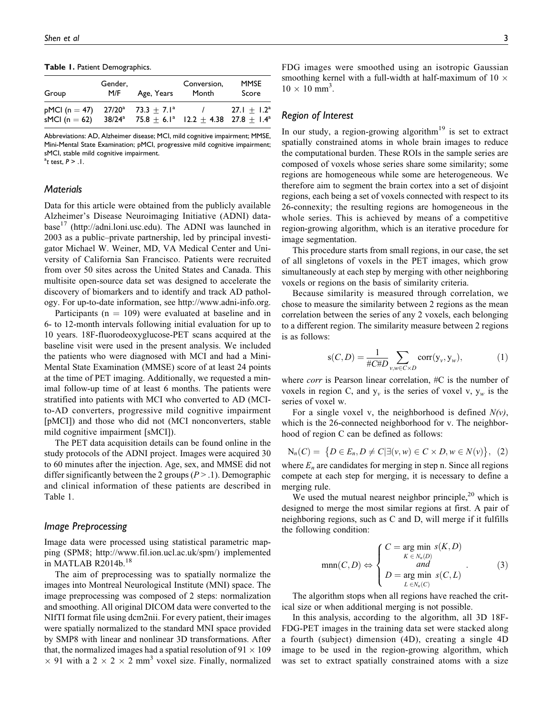Table 1. Patient Demographics.

| Group                                                                    | Gender,<br>M/F | Age, Years | Conversion,<br>Month                                                                                | <b>MMSE</b><br>Score |
|--------------------------------------------------------------------------|----------------|------------|-----------------------------------------------------------------------------------------------------|----------------------|
| pMCI (n = 47) $27/20^a$ 73.3 $\pm$ 7.1 <sup>a</sup><br>sMCI ( $n = 62$ ) |                |            | $\overline{1}$<br>$38/24^a$ 75.8 $\pm$ 6.1 <sup>a</sup> 12.2 $\pm$ 4.38 27.8 $\pm$ 1.4 <sup>a</sup> | $27.1 + 1.2^a$       |

Abbreviations: AD, Alzheimer disease; MCI, mild cognitive impairment; MMSE, Mini-Mental State Examination; pMCI, progressive mild cognitive impairment; sMCI, stable mild cognitive impairment.  $a$ <sup>t</sup> test,  $P > 0$ .

#### **Materials**

Data for this article were obtained from the publicly available Alzheimer's Disease Neuroimaging Initiative (ADNI) database<sup>17</sup> ([http://adni.loni.usc.edu\)](http://adni.loni.usc.edu). The ADNI was launched in 2003 as a public–private partnership, led by principal investigator Michael W. Weiner, MD, VA Medical Center and University of California San Francisco. Patients were recruited from over 50 sites across the United States and Canada. This multisite open-source data set was designed to accelerate the discovery of biomarkers and to identify and track AD pathology. For up-to-date information, see [http://www.adni-info.org.](http://www.adni-info.org)

Participants ( $n = 109$ ) were evaluated at baseline and in 6- to 12-month intervals following initial evaluation for up to 10 years. 18F-fluorodeoxyglucose-PET scans acquired at the baseline visit were used in the present analysis. We included the patients who were diagnosed with MCI and had a Mini-Mental State Examination (MMSE) score of at least 24 points at the time of PET imaging. Additionally, we requested a minimal follow-up time of at least 6 months. The patients were stratified into patients with MCI who converted to AD (MCIto-AD converters, progressive mild cognitive impairment [pMCI]) and those who did not (MCI nonconverters, stable mild cognitive impairment [sMCI]).

The PET data acquisition details can be found online in the study protocols of the ADNI project. Images were acquired 30 to 60 minutes after the injection. Age, sex, and MMSE did not differ significantly between the 2 groups ( $P > 1$ ). Demographic and clinical information of these patients are described in Table 1.

#### Image Preprocessing

Image data were processed using statistical parametric mapping (SPM8;<http://www.fil.ion.ucl.ac.uk/spm/>) implemented in MATLAB R2014b. $18$ 

The aim of preprocessing was to spatially normalize the images into Montreal Neurological Institute (MNI) space. The image preprocessing was composed of 2 steps: normalization and smoothing. All original DICOM data were converted to the NIfTI format file using dcm2nii. For every patient, their images were spatially normalized to the standard MNI space provided by SMP8 with linear and nonlinear 3D transformations. After that, the normalized images had a spatial resolution of  $91 \times 109$  $\times$  91 with a 2  $\times$  2  $\times$  2 mm<sup>3</sup> voxel size. Finally, normalized

#### Region of Interest

In our study, a region-growing algorithm<sup>19</sup> is set to extract spatially constrained atoms in whole brain images to reduce the computational burden. These ROIs in the sample series are composed of voxels whose series share some similarity; some regions are homogeneous while some are heterogeneous. We therefore aim to segment the brain cortex into a set of disjoint regions, each being a set of voxels connected with respect to its 26-connexity; the resulting regions are homogeneous in the whole series. This is achieved by means of a competitive region-growing algorithm, which is an iterative procedure for image segmentation.

This procedure starts from small regions, in our case, the set of all singletons of voxels in the PET images, which grow simultaneously at each step by merging with other neighboring voxels or regions on the basis of similarity criteria.

Because similarity is measured through correlation, we chose to measure the similarity between 2 regions as the mean correlation between the series of any 2 voxels, each belonging to a different region. The similarity measure between 2 regions is as follows:

$$
s(C,D) = \frac{1}{\#C\#D} \sum_{v,w \in C \times D} corr(y_v, y_w), \qquad (1)
$$

where *corr* is Pearson linear correlation, #C is the number of voxels in region C, and  $y_v$  is the series of voxel v,  $y_w$  is the series of voxel w.

For a single voxel v, the neighborhood is defined  $N(v)$ , which is the 26-connected neighborhood for v. The neighborhood of region C can be defined as follows:

$$
N_n(C) = \{ D \in E_n, D \neq C \vert \exists (v, w) \in C \times D, w \in N(v) \}, (2)
$$

where  $E_n$  are candidates for merging in step n. Since all regions compete at each step for merging, it is necessary to define a merging rule.

We used the mutual nearest neighbor principle,<sup>20</sup> which is designed to merge the most similar regions at first. A pair of neighboring regions, such as C and D, will merge if it fulfills the following condition:

$$
\min(C, D) \Leftrightarrow \begin{cases} C = \underset{K \in N_n(D)}{\text{arg min}} \ s(K, D) \\ \underset{L \in N_n(C)}{\text{arg min}} \ s(C, L) \end{cases} \tag{3}
$$

The algorithm stops when all regions have reached the critical size or when additional merging is not possible.

In this analysis, according to the algorithm, all 3D 18F-FDG-PET images in the training data set were stacked along a fourth (subject) dimension (4D), creating a single 4D image to be used in the region-growing algorithm, which was set to extract spatially constrained atoms with a size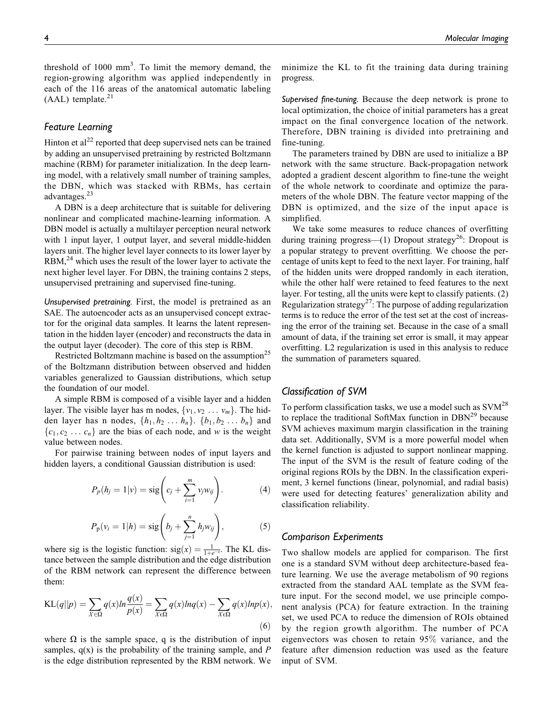threshold of  $1000 \text{ mm}^3$ . To limit the memory demand, the region-growing algorithm was applied independently in each of the 116 areas of the anatomical automatic labeling  $(AAL)$  template.<sup>21</sup>

#### Feature Learning

Hinton et  $al^{22}$  reported that deep supervised nets can be trained by adding an unsupervised pretraining by restricted Boltzmann machine (RBM) for parameter initialization. In the deep learning model, with a relatively small number of training samples, the DBN, which was stacked with RBMs, has certain advantages.<sup>23</sup>

A DBN is a deep architecture that is suitable for delivering nonlinear and complicated machine-learning information. A DBN model is actually a multilayer perception neural network with 1 input layer, 1 output layer, and several middle-hidden layers unit. The higher level layer connects to its lower layer by RBM, $^{24}$  which uses the result of the lower layer to activate the next higher level layer. For DBN, the training contains 2 steps, unsupervised pretraining and supervised fine-tuning.

Unsupervised pretraining. First, the model is pretrained as an SAE. The autoencoder acts as an unsupervised concept extractor for the original data samples. It learns the latent representation in the hidden layer (encoder) and reconstructs the data in the output layer (decoder). The core of this step is RBM.

Restricted Boltzmann machine is based on the assumption<sup>25</sup> of the Boltzmann distribution between observed and hidden variables generalized to Gaussian distributions, which setup the foundation of our model.

A simple RBM is composed of a visible layer and a hidden layer. The visible layer has m nodes,  $\{v_1, v_2 \ldots v_m\}$ . The hidden layer has n nodes,  $\{h_1, h_2 \ldots h_n\}$ .  $\{b_1, b_2 \ldots b_n\}$  and  ${c_1, c_2 \ldots c_n}$  are the bias of each node, and w is the weight value between nodes.

For pairwise training between nodes of input layers and hidden layers, a conditional Gaussian distribution is used:

$$
P_p(h_j = 1 | v) = \text{sig}\left(c_j + \sum_{i=1}^m v_j w_{ij}\right).
$$
 (4)

$$
P_{p}(v_{i} = 1 | h) = sig\left(b_{j} + \sum_{j=1}^{n} h_{j}w_{ij}\right),
$$
 (5)

where sig is the logistic function:  $sig(x) = \frac{1}{1+e^{-x}}$ . The KL distance between the sample distribution and the edge distribution of the RBM network can represent the difference between them:

$$
KL(q||p) = \sum_{X \in \Omega} q(x)ln \frac{q(x)}{p(x)} = \sum_{X \in \Omega} q(x)ln q(x) - \sum_{X \in \Omega} q(x)ln p(x),
$$
\n(6)

where  $\Omega$  is the sample space, q is the distribution of input samples,  $q(x)$  is the probability of the training sample, and P is the edge distribution represented by the RBM network. We

minimize the KL to fit the training data during training progress.

Supervised fine-tuning. Because the deep network is prone to local optimization, the choice of initial parameters has a great impact on the final convergence location of the network. Therefore, DBN training is divided into pretraining and fine-tuning.

The parameters trained by DBN are used to initialize a BP network with the same structure. Back-propagation network adopted a gradient descent algorithm to fine-tune the weight of the whole network to coordinate and optimize the parameters of the whole DBN. The feature vector mapping of the DBN is optimized, and the size of the input apace is simplified.

We take some measures to reduce chances of overfitting during training progress—(1) Dropout strategy<sup>26</sup>: Dropout is a popular strategy to prevent overfitting. We choose the percentage of units kept to feed to the next layer. For training, half of the hidden units were dropped randomly in each iteration, while the other half were retained to feed features to the next layer. For testing, all the units were kept to classify patients. (2) Regularization strategy<sup>27</sup>: The purpose of adding regularization terms is to reduce the error of the test set at the cost of increasing the error of the training set. Because in the case of a small amount of data, if the training set error is small, it may appear overfitting. L2 regularization is used in this analysis to reduce the summation of parameters squared.

#### Classification of SVM

To perform classification tasks, we use a model such as  $\text{SVM}^{28}$ to replace the traditional SoftMax function in  $DBN<sup>29</sup>$  because SVM achieves maximum margin classification in the training data set. Additionally, SVM is a more powerful model when the kernel function is adjusted to support nonlinear mapping. The input of the SVM is the result of feature coding of the original regions ROIs by the DBN. In the classification experiment, 3 kernel functions (linear, polynomial, and radial basis) were used for detecting features' generalization ability and classification reliability.

#### Comparison Experiments

Two shallow models are applied for comparison. The first one is a standard SVM without deep architecture-based feature learning. We use the average metabolism of 90 regions extracted from the standard AAL template as the SVM feature input. For the second model, we use principle component analysis (PCA) for feature extraction. In the training set, we used PCA to reduce the dimension of ROIs obtained by the region growth algorithm. The number of PCA eigenvectors was chosen to retain 95% variance, and the feature after dimension reduction was used as the feature input of SVM.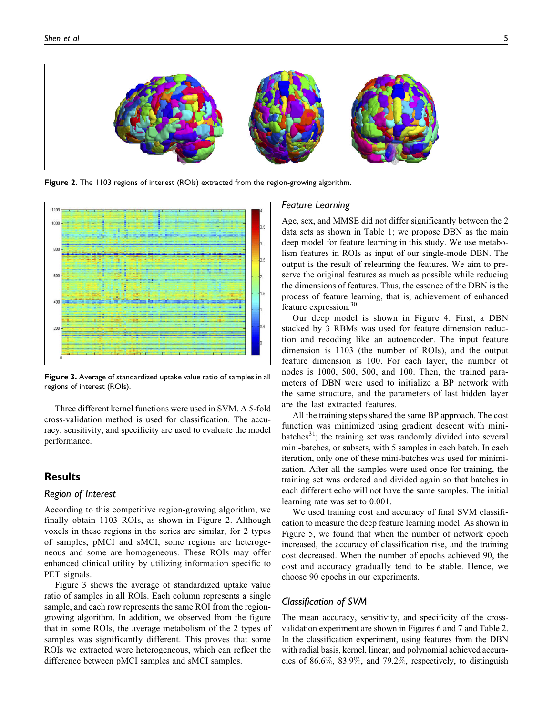

Figure 2. The 1103 regions of interest (ROIs) extracted from the region-growing algorithm.



Figure 3. Average of standardized uptake value ratio of samples in all regions of interest (ROIs).

Three different kernel functions were used in SVM. A 5-fold cross-validation method is used for classification. The accuracy, sensitivity, and specificity are used to evaluate the model performance.

#### **Results**

#### Region of Interest

According to this competitive region-growing algorithm, we finally obtain 1103 ROIs, as shown in Figure 2. Although voxels in these regions in the series are similar, for 2 types of samples, pMCI and sMCI, some regions are heterogeneous and some are homogeneous. These ROIs may offer enhanced clinical utility by utilizing information specific to PET signals.

Figure 3 shows the average of standardized uptake value ratio of samples in all ROIs. Each column represents a single sample, and each row represents the same ROI from the regiongrowing algorithm. In addition, we observed from the figure that in some ROIs, the average metabolism of the 2 types of samples was significantly different. This proves that some ROIs we extracted were heterogeneous, which can reflect the difference between pMCI samples and sMCI samples.

#### Feature Learning

Age, sex, and MMSE did not differ significantly between the 2 data sets as shown in Table 1; we propose DBN as the main deep model for feature learning in this study. We use metabolism features in ROIs as input of our single-mode DBN. The output is the result of relearning the features. We aim to preserve the original features as much as possible while reducing the dimensions of features. Thus, the essence of the DBN is the process of feature learning, that is, achievement of enhanced feature expression.<sup>30</sup>

Our deep model is shown in Figure 4. First, a DBN stacked by 3 RBMs was used for feature dimension reduction and recoding like an autoencoder. The input feature dimension is 1103 (the number of ROIs), and the output feature dimension is 100. For each layer, the number of nodes is 1000, 500, 500, and 100. Then, the trained parameters of DBN were used to initialize a BP network with the same structure, and the parameters of last hidden layer are the last extracted features.

All the training steps shared the same BP approach. The cost function was minimized using gradient descent with minibatches $31$ ; the training set was randomly divided into several mini-batches, or subsets, with 5 samples in each batch. In each iteration, only one of these mini-batches was used for minimization. After all the samples were used once for training, the training set was ordered and divided again so that batches in each different echo will not have the same samples. The initial learning rate was set to 0.001.

We used training cost and accuracy of final SVM classification to measure the deep feature learning model. As shown in Figure 5, we found that when the number of network epoch increased, the accuracy of classification rise, and the training cost decreased. When the number of epochs achieved 90, the cost and accuracy gradually tend to be stable. Hence, we choose 90 epochs in our experiments.

#### Classification of SVM

The mean accuracy, sensitivity, and specificity of the crossvalidation experiment are shown in Figures 6 and 7 and Table 2. In the classification experiment, using features from the DBN with radial basis, kernel, linear, and polynomial achieved accuracies of 86.6%, 83.9%, and 79.2%, respectively, to distinguish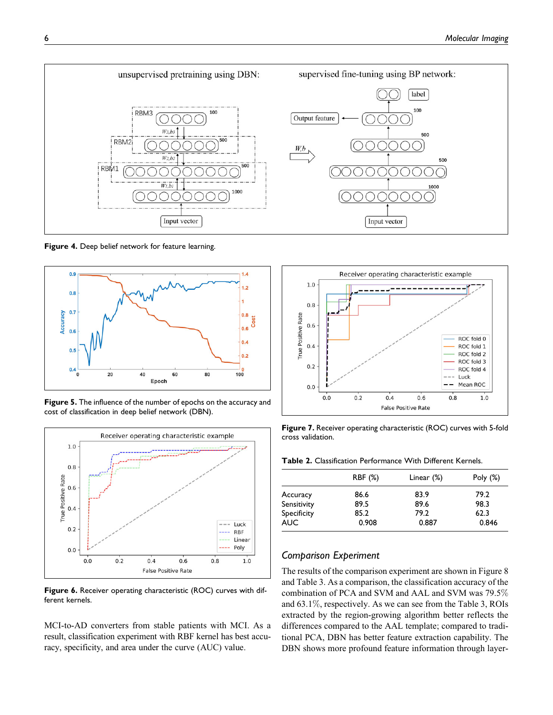

Figure 4. Deep belief network for feature learning.



Figure 5. The influence of the number of epochs on the accuracy and cost of classification in deep belief network (DBN).



Figure 6. Receiver operating characteristic (ROC) curves with different kernels.

MCI-to-AD converters from stable patients with MCI. As a result, classification experiment with RBF kernel has best accuracy, specificity, and area under the curve (AUC) value.



Figure 7. Receiver operating characteristic (ROC) curves with 5-fold cross validation.

Table 2. Classification Performance With Different Kernels.

|             | <b>RBF</b> (%) | Linear (%) | Poly $(\%)$ |
|-------------|----------------|------------|-------------|
| Accuracy    | 86.6           | 83.9       | 79.2        |
| Sensitivity | 89.5           | 89.6       | 98.3        |
| Specificity | 85.2           | 79.2       | 62.3        |
| AUC.        | 0.908          | 0.887      | 0.846       |

#### Comparison Experiment

The results of the comparison experiment are shown in Figure 8 and Table 3. As a comparison, the classification accuracy of the combination of PCA and SVM and AAL and SVM was 79.5% and 63.1%, respectively. As we can see from the Table 3, ROIs extracted by the region-growing algorithm better reflects the differences compared to the AAL template; compared to traditional PCA, DBN has better feature extraction capability. The DBN shows more profound feature information through layer-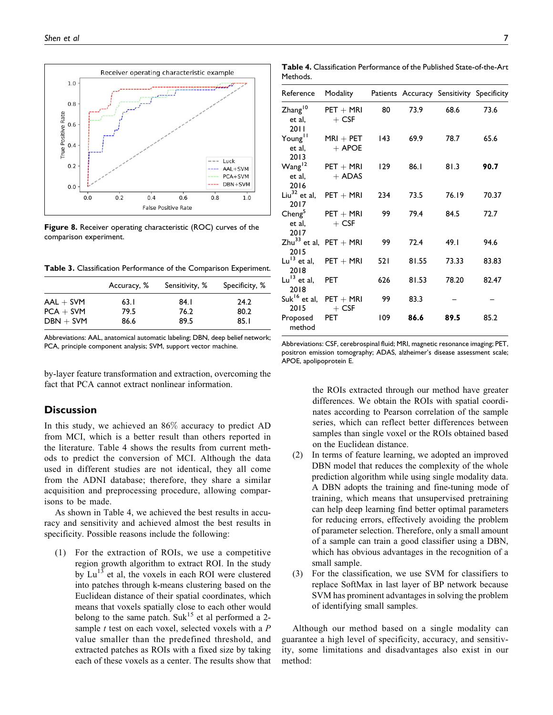

Figure 8. Receiver operating characteristic (ROC) curves of the comparison experiment.

Table 3. Classification Performance of the Comparison Experiment.

|             | Accuracy, % | Sensitivity, % | Specificity, % |
|-------------|-------------|----------------|----------------|
| $AAL + SVM$ | 63.1        | 84. I          | 24.2           |
| $PCA + SVM$ | 79.5        | 76.2           | 80.2           |
| $DBN + SVM$ | 86.6        | 89.5           | 85.I           |

Abbreviations: AAL, anatomical automatic labeling; DBN, deep belief network; PCA, principle component analysis; SVM, support vector machine.

by-layer feature transformation and extraction, overcoming the fact that PCA cannot extract nonlinear information.

#### **Discussion**

In this study, we achieved an 86% accuracy to predict AD from MCI, which is a better result than others reported in the literature. Table 4 shows the results from current methods to predict the conversion of MCI. Although the data used in different studies are not identical, they all come from the ADNI database; therefore, they share a similar acquisition and preprocessing procedure, allowing comparisons to be made.

As shown in Table 4, we achieved the best results in accuracy and sensitivity and achieved almost the best results in specificity. Possible reasons include the following:

(1) For the extraction of ROIs, we use a competitive region growth algorithm to extract ROI. In the study by  $Lu^{13}$  et al, the voxels in each ROI were clustered into patches through k-means clustering based on the Euclidean distance of their spatial coordinates, which means that voxels spatially close to each other would belong to the same patch. Suk<sup>15</sup> et al performed a 2sample  $t$  test on each voxel, selected voxels with a  $P$ value smaller than the predefined threshold, and extracted patches as ROIs with a fixed size by taking each of these voxels as a center. The results show that

Table 4. Classification Performance of the Published State-of-the-Art Methods.

| Reference                             | Modality                                             |              |       | Patients Accuracy Sensitivity Specificity |       |
|---------------------------------------|------------------------------------------------------|--------------|-------|-------------------------------------------|-------|
| Zhang <sup>10</sup><br>et al,<br>2011 | $PET + MRI$<br>$+$ CSF                               | 80           | 73.9  | 68.6                                      | 73.6  |
| Young <sup>11</sup><br>et al,<br>2013 | $MRI + PET$<br>$+$ APOE                              | $ 43\rangle$ | 69.9  | 78.7                                      | 65.6  |
| Wang <sup>12</sup><br>et al,<br>2016  | $\mathsf{PET} + \mathsf{MRI}$<br>$+$ ADAS            | 129          | 86.1  | 81.3                                      | 90.7  |
| 2017                                  | Liu <sup>32</sup> et al, $PET + MRI$                 | 234          | 73.5  | 76.19                                     | 70.37 |
| Cheng <sup>5</sup><br>et al,<br>2017  | $\mathsf{PET} + \mathsf{MRI}$<br>$+$ CSF             | 99           | 79.4  | 84.5                                      | 72.7  |
| $Zhu^{33}$ et al, $PET + MRI$<br>2015 |                                                      | 99           | 72.4  | 49.1                                      | 94.6  |
| 2018                                  | Lu <sup>13</sup> et al, $PET + MRI$                  | 521          | 81.55 | 73.33                                     | 83.83 |
| Lu <sup>13</sup> et al, PET<br>2018   |                                                      | 626          | 81.53 | 78.20                                     | 82.47 |
|                                       | Suk <sup>16</sup> et al, $PET + MRI$<br>$2015 + CSF$ | 99           | 83.3  |                                           |       |
| Proposed PET<br>method                |                                                      | 109          | 86.6  | 89.5                                      | 85.2  |

Abbreviations: CSF, cerebrospinal fluid; MRI, magnetic resonance imaging; PET, positron emission tomography; ADAS, alzheimer's disease assessment scale; APOE, apolipoprotein E.

> the ROIs extracted through our method have greater differences. We obtain the ROIs with spatial coordinates according to Pearson correlation of the sample series, which can reflect better differences between samples than single voxel or the ROIs obtained based on the Euclidean distance.

- (2) In terms of feature learning, we adopted an improved DBN model that reduces the complexity of the whole prediction algorithm while using single modality data. A DBN adopts the training and fine-tuning mode of training, which means that unsupervised pretraining can help deep learning find better optimal parameters for reducing errors, effectively avoiding the problem of parameter selection. Therefore, only a small amount of a sample can train a good classifier using a DBN, which has obvious advantages in the recognition of a small sample.
- (3) For the classification, we use SVM for classifiers to replace SoftMax in last layer of BP network because SVM has prominent advantages in solving the problem of identifying small samples.

Although our method based on a single modality can guarantee a high level of specificity, accuracy, and sensitivity, some limitations and disadvantages also exist in our method: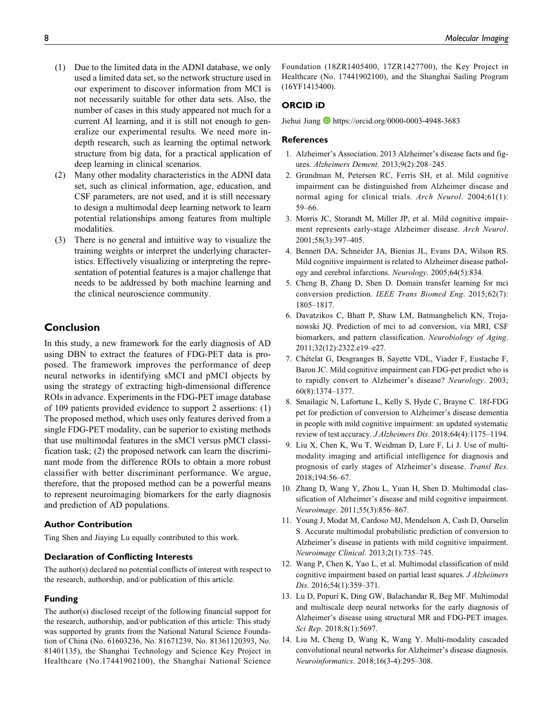- (1) Due to the limited data in the ADNI database, we only used a limited data set, so the network structure used in our experiment to discover information from MCI is not necessarily suitable for other data sets. Also, the number of cases in this study appeared not much for a current AI learning, and it is still not enough to generalize our experimental results. We need more indepth research, such as learning the optimal network structure from big data, for a practical application of deep learning in clinical scenarios.
- (2) Many other modality characteristics in the ADNI data set, such as clinical information, age, education, and CSF parameters, are not used, and it is still necessary to design a multimodal deep learning network to learn potential relationships among features from multiple modalities.
- (3) There is no general and intuitive way to visualize the training weights or interpret the underlying characteristics. Effectively visualizing or interpreting the representation of potential features is a major challenge that needs to be addressed by both machine learning and the clinical neuroscience community.

## Conclusion

In this study, a new framework for the early diagnosis of AD using DBN to extract the features of FDG-PET data is proposed. The framework improves the performance of deep neural networks in identifying sMCI and pMCI objects by using the strategy of extracting high-dimensional difference ROIs in advance. Experiments in the FDG-PET image database of 109 patients provided evidence to support 2 assertions: (1) The proposed method, which uses only features derived from a single FDG-PET modality, can be superior to existing methods that use multimodal features in the sMCI versus pMCI classification task; (2) the proposed network can learn the discriminant mode from the difference ROIs to obtain a more robust classifier with better discriminant performance. We argue, therefore, that the proposed method can be a powerful means to represent neuroimaging biomarkers for the early diagnosis and prediction of AD populations.

#### Author Contribution

Ting Shen and Jiaying Lu equally contributed to this work.

#### Declaration of Conflicting Interests

The author(s) declared no potential conflicts of interest with respect to the research, authorship, and/or publication of this article.

#### Funding

The author(s) disclosed receipt of the following financial support for the research, authorship, and/or publication of this article: This study was supported by grants from the National Natural Science Foundation of China (No. 61603236, No. 81671239, No. 81361120393, No. 81401135), the Shanghai Technology and Science Key Project in Healthcare (No.17441902100), the Shanghai National Science Foundation (18ZR1405400, 17ZR1427700), the Key Project in Healthcare (No. 17441902100), and the Shanghai Sailing Program (16YF1415400).

### ORCID iD

Jiehui Jiang <https://orcid.org/0000-0003-4948-3683>

#### References

- 1. Alzheimer's Association. 2013 Alzheimer's disease facts and figures. Alzheimers Dement. 2013;9(2):208–245.
- 2. Grundman M, Petersen RC, Ferris SH, et al. Mild cognitive impairment can be distinguished from Alzheimer disease and normal aging for clinical trials. Arch Neurol. 2004;61(1): 59–66.
- 3. Morris JC, Storandt M, Miller JP, et al. Mild cognitive impairment represents early-stage Alzheimer disease. Arch Neurol. 2001;58(3):397–405.
- 4. Bennett DA, Schneider JA, Bienias JL, Evans DA, Wilson RS. Mild cognitive impairment is related to Alzheimer disease pathology and cerebral infarctions. Neurology. 2005;64(5):834.
- 5. Cheng B, Zhang D, Shen D. Domain transfer learning for mci conversion prediction. IEEE Trans Biomed Eng. 2015;62(7): 1805–1817.
- 6. Davatzikos C, Bhatt P, Shaw LM, Batmanghelich KN, Trojanowski JQ. Prediction of mci to ad conversion, via MRI, CSF biomarkers, and pattern classification. Neurobiology of Aging. 2011;32(12):2322.e19–e27.
- 7. Chételat G, Desgranges B, Sayette VDL, Viader F, Eustache F, Baron JC. Mild cognitive impairment can FDG-pet predict who is to rapidly convert to Alzheimer's disease? Neurology. 2003; 60(8):1374–1377.
- 8. Smailagic N, Lafortune L, Kelly S, Hyde C, Brayne C. 18f-FDG pet for prediction of conversion to Alzheimer's disease dementia in people with mild cognitive impairment: an updated systematic review of test accuracy. J Alzheimers Dis. 2018;64(4):1175–1194.
- 9. Liu X, Chen K, Wu T, Weidman D, Lure F, Li J. Use of multimodality imaging and artificial intelligence for diagnosis and prognosis of early stages of Alzheimer's disease. Transl Res. 2018;194:56–67.
- 10. Zhang D, Wang Y, Zhou L, Yuan H, Shen D. Multimodal classification of Alzheimer's disease and mild cognitive impairment. Neuroimage. 2011;55(3):856–867.
- 11. Young J, Modat M, Cardoso MJ, Mendelson A, Cash D, Ourselin S. Accurate multimodal probabilistic prediction of conversion to Alzheimer's disease in patients with mild cognitive impairment. Neuroimage Clinical. 2013;2(1):735–745.
- 12. Wang P, Chen K, Yao L, et al. Multimodal classification of mild cognitive impairment based on partial least squares. J Alzheimers Dis. 2016;54(1):359–371.
- 13. Lu D, Popuri K, Ding GW, Balachandar R, Beg MF. Multimodal and multiscale deep neural networks for the early diagnosis of Alzheimer's disease using structural MR and FDG-PET images. Sci Rep. 2018;8(1):5697.
- 14. Liu M, Cheng D, Wang K, Wang Y. Multi-modality cascaded convolutional neural networks for Alzheimer's disease diagnosis. Neuroinformatics. 2018;16(3-4):295–308.